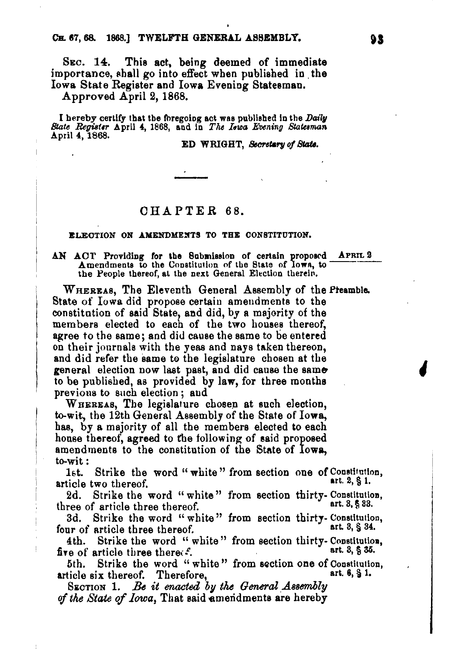SEC. 14. This act. being deemed of immediate importance, shall go into effect when published in the Iowa State Register and Iowa Evening Statesman.

Approved April 9, 1868.

I hereby certify that the foregoing act was published in the Daily  $\emph{State Register}$  April 4, 1868, and in *The Iswa Evening Statesman* April 4, 1868.

ED WRIGHT, *Secretary of State*.

## OHAPTER 68.

### ELECTION ON AMENDMENTS TO THE CONSTITUTION.

# AN ACT Providing for the Submission of certain proposed APRIL 2 Amendments to the Constitution of the State of  $\overline{\text{low}}$ , to the People thereof, at the next General Election therein.

WHEREAS, The Eleventh General Assembly of the Phamble. State of Iowa did propose certain amendments to tbe constitution of said State, and did, by a majority of the mem bers elected to each of tbe two bouses thereof, agree to the same; and did cause the same to be entered on their journals with the yeas and nays taken thereon, and did refer the same to the legislature chosen at the general election now last past, and did cause the same to be published, as provided by  $\mathbf{law}$ , for three months previous to such election; and

WHEREAS, The legislature chosen at such election, to-wit, the 12th General Assembly of the State of Iowa, has, by a majority of all the members elected to each house thereof, agreed to the following of said proposed amendments to the constitution of the State of Iowa, to-wit:

1st. Strike the word " white" from section one of Constitution, tiole two thereof article two thereof.

2d. Strike the word "white" from section thirty- Constitution,<br>ree of extigle three thereof three of article three thereof.

3d. Strike the word "white" from section thirty- Constitution,<br>un of article three thereof four of article three thereof.

4th. Strike the word "white" from section thirty- Constitution,<br>re of article three there:  $f$ five of article three there.

5th. Strike the word "white" from section one of Constitution,<br>ticle six thereof Therefore article six thereof. Therefore,

SECTION 1. Be it enacted by the General Assembly of the State of *Iowa*. That said amendments are hereby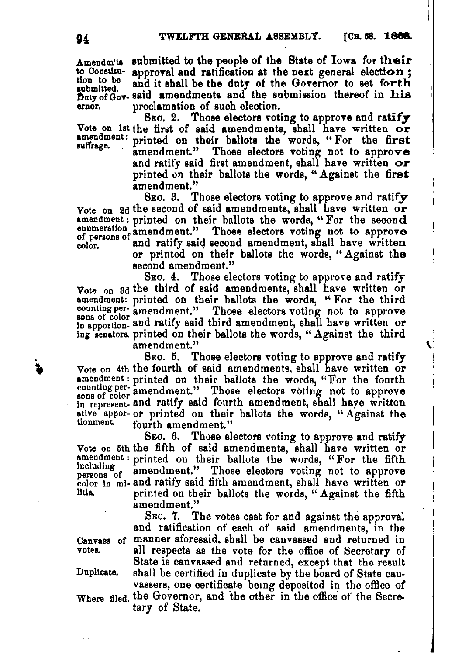Amendm'ts submitted to the people of the State of Iowa for their<br>to Constitu- annroyal and ratification at the next general election: to Constitu- approval and ratification at the next general election;<br>tion to be and it shall be the duty of the Companion to set formula tion to be and it shall be the duty of the Governor to set forth  $\frac{1}{\text{Duty of Goy}}$  said amendments and the submission thereof in his proclamation of such election.

SEC. 2. Those electors voting to approve and ratify Vote on 1st the first of said amendments, shall have written  $\overrightarrow{or}$ <br>amendment:  $\overrightarrow{r}$  and  $\overrightarrow{or}$  their hallots the words if  $\overrightarrow{F}$  the first amendment: printed on their ballots the words, "For the first suurage. amendment." Those electors voting not to approve and ratify said first amendment, shall have written or printed on their ballots the words, "Against the first amendment."<br>SEC. 3. T

Those electors voting to approve and ratify Vote on 2d the second of said amendments, shall have written or<br>amendment: printed on their ballots the words, "For the second where on a second of sinu amendment. Shall the words, "For the second<br>enumeration amendment." Those electors voting not to approve<br>color. and ratify said second amendment, shall have written<br>color. or printed on their ballots the words, "Against the second amendment."

Sxo. 4. Those electors voting to approve and ratify Vote on 3d the third of said amendments, shall have written or amendment: printed on their ballots the words, "For the third counting per- amendment." Those electors voting not to approve in apportion. and ratify said third amendment, shall have written or ing lenators. printed on their ballots the words, "Against the third amendment." \:

SEC. 5. Those electors voting to approve and ratify Vote on 4th the fourth of said amendments, shall have written or amendment: printed on their ballots the words, "For the fourth counting per-amendment." Those electors voting not to approve in represent- and ratify said fourth amendment, shall have written ative appor- or printed on their ballots the words, "Against the tionment. fourth smandmant" fourth amendment."

SEC. 6. Those electors voting to approve and ratify Vote on 3th the fifth of said amendments, shall have written or  $\frac{1}{2}$  amendment : printed on their ballots the words, "For the fifth ncluding amendment." Those electors voting not to approve color in mi- and ratify said fifth amendment, shall have written or<br>litia. printed on their ballots the words. "Against the fifth printed on their ballots the words, "Against the fifth amendment."

SEC. 7. The votes cast for and against the approval and ratification of each of said amendments, in the Canvass of manner aforesaid, shall be canvassed and returned in votes. all respects as the vote for the office of Secretary of State is canvassed and returned, except that the result Duplicate. shall be certified in dnplicate by the board of State can· vassers, one certificate being deposited in the office of Where filed. the Governor, and the other in the office of the Secretary of State.

, ,